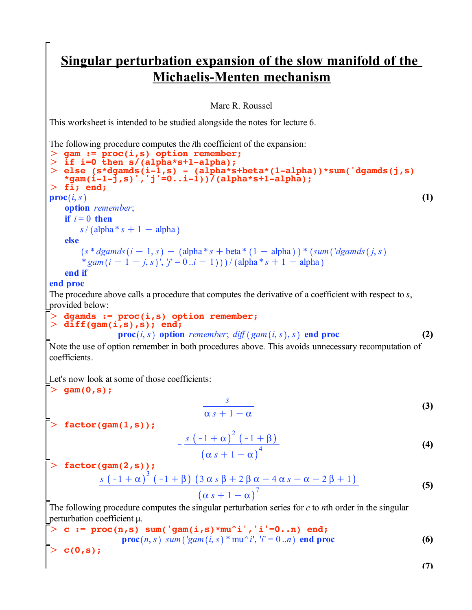## **Singular perturbation expansion of the slow manifold of the Michaelis-Menten mechanism**

Marc R. Roussel

This worksheet is intended to be studied alongside the notes for lecture 6.

The following procedure computes the *i*th coefficient of the expansion:

```
(1)
\geq\geq> fi; end;
> else (s*dgamds(i-l,s) - (alpha*s+beta*(1-alpha))*sum('dgamds(j,s)
   gam := proc(i,s) option remember;
   if i=0 then s/(alpha*s+1-alpha);
   *gam(i-1-j,s)','j'=0..i-1))/(alpha*s+1-alpha);
\mathbf{proc}(i, s)option remember;
   if i = 0 then
       s/(alpha * s + 1 - alpha)else
       (s * dgamds (i - 1, s) - (alpha * s + beta * (1 - alpha)) * (sum' dgamds (j, s)* \text{gamma}(i-1-j, s), j' = 0..i - 1)) / (alpha * s + 1 - \text{alpha})
   end if
```
## **end proc**

The procedure above calls a procedure that computes the derivative of a coefficient with respect to *s*, provided below:

```
> dgamds := proc(i,s) option remember;
> diff(gam(i,s),s); end;
                                                                               (2)
              proc(i, s) option remember; diff(gam(i, s), s) end proc
```
Note the use of option remember in both procedures above. This avoids unnecessary recomputation of coefficients.

Let's now look at some of those coefficients:

 $>$  gam(0,s);

 $\geq$ 

$$
\frac{s}{\alpha s + 1 - \alpha} \tag{3}
$$

$$
factor(gam(1,s));
$$

$$
-\frac{s(-1+\alpha)^2(-1+\beta)}{(\alpha s+1-\alpha)^4}
$$
 (4)

 $\geq$ **factor(gam(2,s));**

$$
\frac{s ( -1 + \alpha)^3 (-1 + \beta) (3 \alpha s \beta + 2 \beta \alpha - 4 \alpha s - \alpha - 2 \beta + 1)}{(\alpha s + 1 - \alpha)^7}
$$
 (5)

The following procedure computes the singular perturbation series for *c* to *n*th order in the singular perturbation coefficient µ.

 $\geq$  $> c := proc(n, s) sum('gam(i, s) * mu' i', 'i' = 0...n) end;$ **(6) proc**  $(n, s)$  *sum*  $\left(\frac{1}{2}am(i, s) * mu \right) * mu \right]$ ,  $i' = 0..n$  **end proc c(0,s);**

**(7)**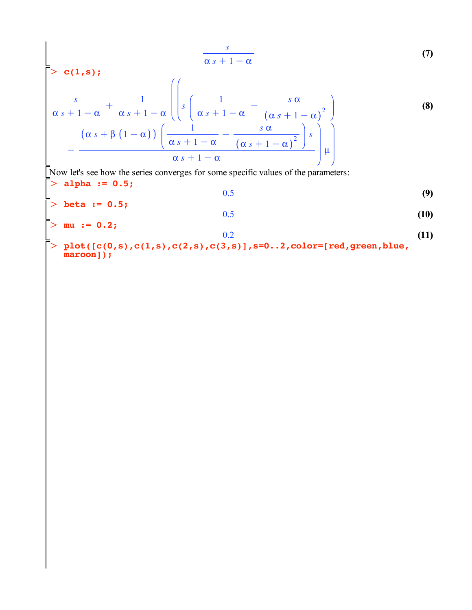$$
\frac{s}{\alpha s + 1 - \alpha}
$$
 (7)  
\n
$$
\frac{s}{\alpha s + 1 - \alpha}
$$
 (8)  
\n
$$
\frac{s}{\alpha s + 1 - \alpha} + \frac{1}{\alpha s + 1 - \alpha} \left( \left[ s \left( \frac{1}{\alpha s + 1 - \alpha} - \frac{s \alpha}{(\alpha s + 1 - \alpha)^2} \right) - \frac{(\alpha s + \beta (1 - \alpha)) \left( \frac{1}{\alpha s + 1 - \alpha} - \frac{s \alpha}{(\alpha s + 1 - \alpha)^2} \right) s}{\alpha s + 1 - \alpha} \right] \mu \right)
$$
 (9)  
\n
$$
= \frac{s \alpha}{\alpha s + 1 - \alpha}
$$
 (10)  
\nNow let's see how the series converges for some specific values of the parameters:  
\n
$$
\frac{s}{\alpha s + 1 - \alpha}
$$

**(9)** 0.5

$$
\begin{array}{ll}\n> \text{beta} &:= 0.5; \\
\text{m} &:= 0.2; \\
\end{array} \tag{10}
$$

$$
mu := 0.2;
$$

$$
0.2
$$
\nplot([c(0,s),c(1,s),c(2,s),c(3,s)],s=0..2,color=[red,green,blue,1]

 $\geq$ **maroon]);**